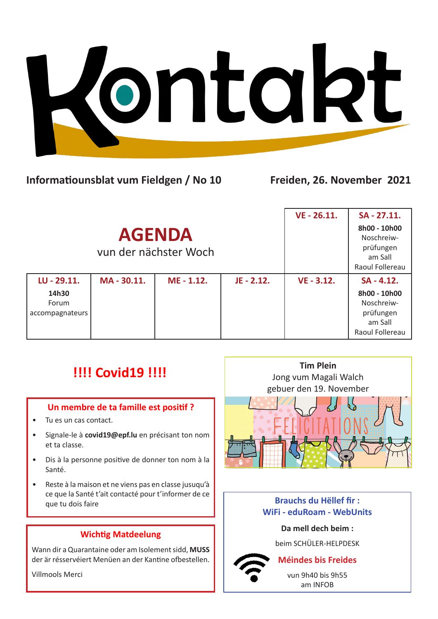

## **Informatiounsblat vum Fieldgen / No 10 Freiden, 26. November 2021**

|                                                  |           |            |              | VE - 26.11.  | SA - 27.11.                                                                           |
|--------------------------------------------------|-----------|------------|--------------|--------------|---------------------------------------------------------------------------------------|
| <b>AGENDA</b><br>vun der nächster Woch           |           |            |              |              | 8h00 - 10h00<br>Noschreiw-<br>prüfungen<br>am Sall<br>Raoul Follereau                 |
| LU - 29.11.<br>14h30<br>Forum<br>accompagnateurs | MA-30.11. | ME - 1.12. | $JE - 2.12.$ | $VE - 3.12.$ | $SA - 4.12.$<br>8h00 - 10h00<br>Noschreiw-<br>prüfungen<br>am Sall<br>Raoul Follereau |

# **!!!! Covid19 !!!!**

## **Un membre de ta famille est positif ?**

- Tu es un cas contact.
- Signale-le à **covid19@epf.lu** en précisant ton nom et ta classe.
- Dis à la personne positive de donner ton nom à la Santé.
- Reste à la maison et ne viens pas en classe jusuqu'à ce que la Santé t'ait contacté pour t'informer de ce que tu dois faire

## **Wichtig Matdeelung**

Wann dir a Quarantaine oder am Isolement sidd, **MUSS** der är résservéiert Menüen an der Kantine ofbestellen.

Villmools Merci



## **Brauchs du Hëllef fir : WiFi - eduRoam - WebUnits**

#### **Da mell dech beim :**

beim SCHÜLER-HELPDESK

## **Méindes bis Freides**

vun 9h40 bis 9h55 am INFOB